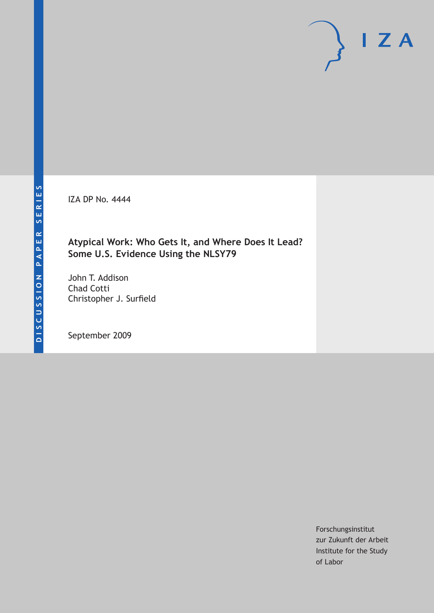IZA DP No. 4444

# **Atypical Work: Who Gets It, and Where Does It Lead? Some U.S. Evidence Using the NLSY79**

John T. Addison Chad Cotti Christopher J. Surfield

September 2009

Forschungsinstitut zur Zukunft der Arbeit Institute for the Study of Labor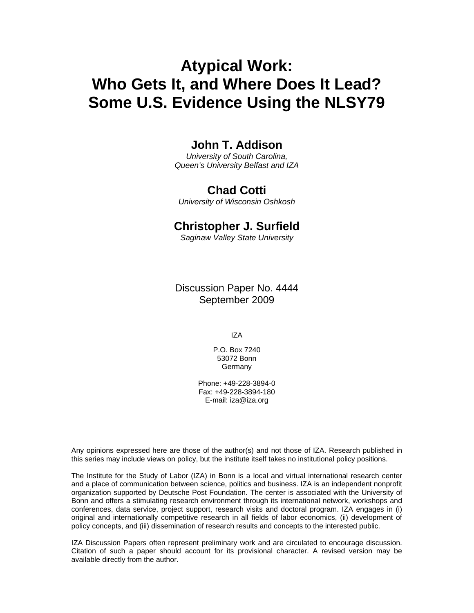# **Atypical Work: Who Gets It, and Where Does It Lead? Some U.S. Evidence Using the NLSY79**

## **John T. Addison**

*University of South Carolina, Queen's University Belfast and IZA* 

## **Chad Cotti**

*University of Wisconsin Oshkosh* 

## **Christopher J. Surfield**

*Saginaw Valley State University* 

Discussion Paper No. 4444 September 2009

IZA

P.O. Box 7240 53072 Bonn Germany

Phone: +49-228-3894-0 Fax: +49-228-3894-180 E-mail: iza@iza.org

Any opinions expressed here are those of the author(s) and not those of IZA. Research published in this series may include views on policy, but the institute itself takes no institutional policy positions.

The Institute for the Study of Labor (IZA) in Bonn is a local and virtual international research center and a place of communication between science, politics and business. IZA is an independent nonprofit organization supported by Deutsche Post Foundation. The center is associated with the University of Bonn and offers a stimulating research environment through its international network, workshops and conferences, data service, project support, research visits and doctoral program. IZA engages in (i) original and internationally competitive research in all fields of labor economics, (ii) development of policy concepts, and (iii) dissemination of research results and concepts to the interested public.

IZA Discussion Papers often represent preliminary work and are circulated to encourage discussion. Citation of such a paper should account for its provisional character. A revised version may be available directly from the author.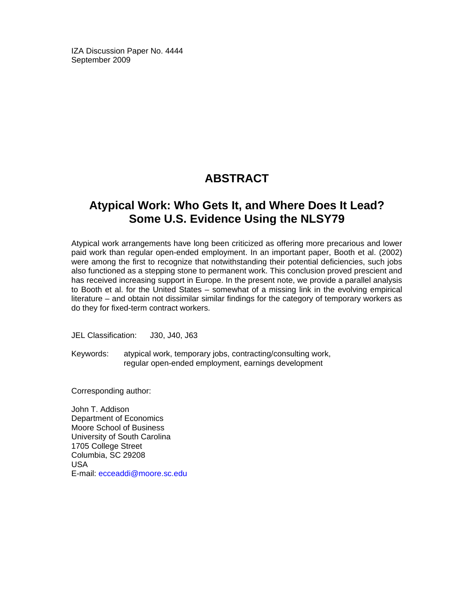IZA Discussion Paper No. 4444 September 2009

# **ABSTRACT**

## **Atypical Work: Who Gets It, and Where Does It Lead? Some U.S. Evidence Using the NLSY79**

Atypical work arrangements have long been criticized as offering more precarious and lower paid work than regular open-ended employment. In an important paper, Booth et al. (2002) were among the first to recognize that notwithstanding their potential deficiencies, such jobs also functioned as a stepping stone to permanent work. This conclusion proved prescient and has received increasing support in Europe. In the present note, we provide a parallel analysis to Booth et al. for the United States – somewhat of a missing link in the evolving empirical literature – and obtain not dissimilar similar findings for the category of temporary workers as do they for fixed-term contract workers.

JEL Classification: J30, J40, J63

Keywords: atypical work, temporary jobs, contracting/consulting work, regular open-ended employment, earnings development

Corresponding author:

John T. Addison Department of Economics Moore School of Business University of South Carolina 1705 College Street Columbia, SC 29208 USA E-mail: ecceaddi@moore.sc.edu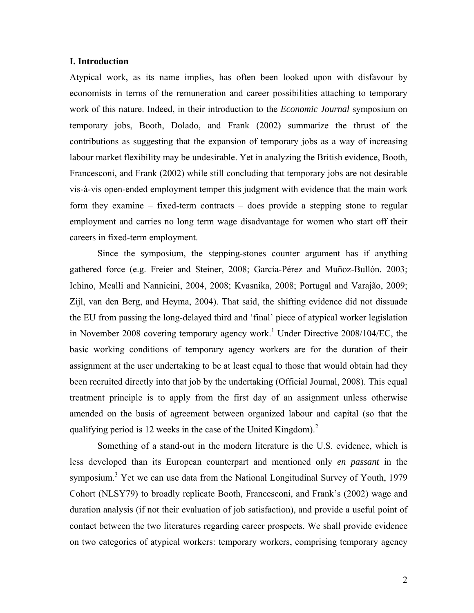#### **I. Introduction**

Atypical work, as its name implies, has often been looked upon with disfavour by economists in terms of the remuneration and career possibilities attaching to temporary work of this nature. Indeed, in their introduction to the *Economic Journal* symposium on temporary jobs, Booth, Dolado, and Frank (2002) summarize the thrust of the contributions as suggesting that the expansion of temporary jobs as a way of increasing labour market flexibility may be undesirable. Yet in analyzing the British evidence, Booth, Francesconi, and Frank (2002) while still concluding that temporary jobs are not desirable vis-à-vis open-ended employment temper this judgment with evidence that the main work form they examine – fixed-term contracts – does provide a stepping stone to regular employment and carries no long term wage disadvantage for women who start off their careers in fixed-term employment.

Since the symposium, the stepping-stones counter argument has if anything gathered force (e.g. Freier and Steiner, 2008; García-Pérez and Muñoz-Bullón. 2003; Ichino, Mealli and Nannicini, 2004, 2008; Kvasnika, 2008; Portugal and Varajão, 2009; Zijl, van den Berg, and Heyma, 2004). That said, the shifting evidence did not dissuade the EU from passing the long-delayed third and 'final' piece of atypical worker legislation in November 2008 covering temporary agency work.<sup>1</sup> Under Directive 2008/104/EC, the basic working conditions of temporary agency workers are for the duration of their assignment at the user undertaking to be at least equal to those that would obtain had they been recruited directly into that job by the undertaking (Official Journal, 2008). This equal treatment principle is to apply from the first day of an assignment unless otherwise amended on the basis of agreement between organized labour and capital (so that the qualifying period is 12 weeks in the case of the United Kingdom). $^2$ 

Something of a stand-out in the modern literature is the U.S. evidence, which is less developed than its European counterpart and mentioned only *en passant* in the symposium.<sup>3</sup> Yet we can use data from the National Longitudinal Survey of Youth, 1979 Cohort (NLSY79) to broadly replicate Booth, Francesconi, and Frank's (2002) wage and duration analysis (if not their evaluation of job satisfaction), and provide a useful point of contact between the two literatures regarding career prospects. We shall provide evidence on two categories of atypical workers: temporary workers, comprising temporary agency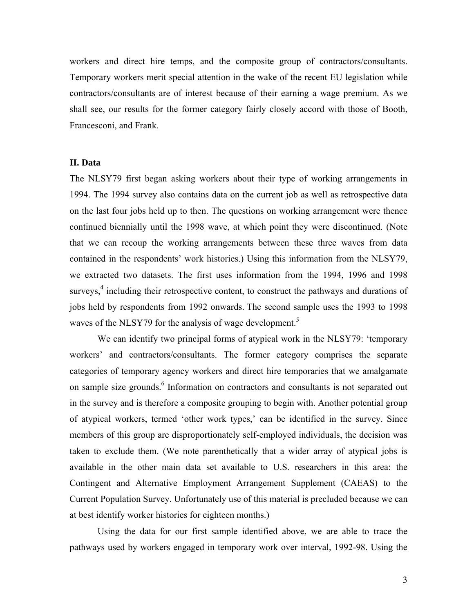workers and direct hire temps, and the composite group of contractors/consultants. Temporary workers merit special attention in the wake of the recent EU legislation while contractors/consultants are of interest because of their earning a wage premium. As we shall see, our results for the former category fairly closely accord with those of Booth, Francesconi, and Frank.

#### **II. Data**

The NLSY79 first began asking workers about their type of working arrangements in 1994. The 1994 survey also contains data on the current job as well as retrospective data on the last four jobs held up to then. The questions on working arrangement were thence continued biennially until the 1998 wave, at which point they were discontinued. (Note that we can recoup the working arrangements between these three waves from data contained in the respondents' work histories.) Using this information from the NLSY79, we extracted two datasets. The first uses information from the 1994, 1996 and 1998 surveys,<sup>4</sup> including their retrospective content, to construct the pathways and durations of jobs held by respondents from 1992 onwards. The second sample uses the 1993 to 1998 waves of the NLSY79 for the analysis of wage development.<sup>5</sup>

We can identify two principal forms of atypical work in the NLSY79: 'temporary' workers' and contractors/consultants. The former category comprises the separate categories of temporary agency workers and direct hire temporaries that we amalgamate on sample size grounds.<sup>6</sup> Information on contractors and consultants is not separated out in the survey and is therefore a composite grouping to begin with. Another potential group of atypical workers, termed 'other work types,' can be identified in the survey. Since members of this group are disproportionately self-employed individuals, the decision was taken to exclude them. (We note parenthetically that a wider array of atypical jobs is available in the other main data set available to U.S. researchers in this area: the Contingent and Alternative Employment Arrangement Supplement (CAEAS) to the Current Population Survey. Unfortunately use of this material is precluded because we can at best identify worker histories for eighteen months.)

Using the data for our first sample identified above, we are able to trace the pathways used by workers engaged in temporary work over interval, 1992-98. Using the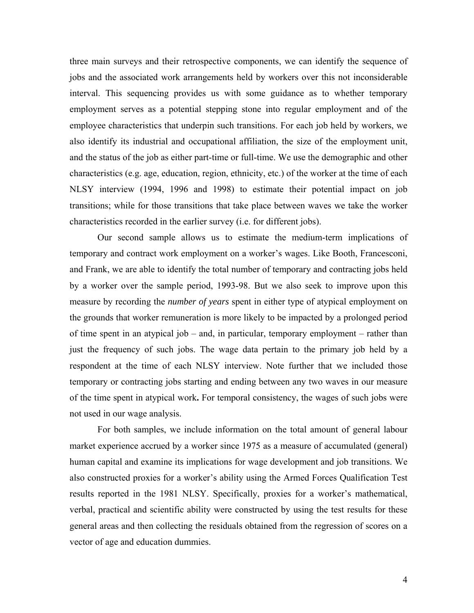three main surveys and their retrospective components, we can identify the sequence of jobs and the associated work arrangements held by workers over this not inconsiderable interval. This sequencing provides us with some guidance as to whether temporary employment serves as a potential stepping stone into regular employment and of the employee characteristics that underpin such transitions. For each job held by workers, we also identify its industrial and occupational affiliation, the size of the employment unit, and the status of the job as either part-time or full-time. We use the demographic and other characteristics (e.g. age, education, region, ethnicity, etc.) of the worker at the time of each NLSY interview (1994, 1996 and 1998) to estimate their potential impact on job transitions; while for those transitions that take place between waves we take the worker characteristics recorded in the earlier survey (i.e. for different jobs).

Our second sample allows us to estimate the medium-term implications of temporary and contract work employment on a worker's wages. Like Booth, Francesconi, and Frank, we are able to identify the total number of temporary and contracting jobs held by a worker over the sample period, 1993-98. But we also seek to improve upon this measure by recording the *number of years* spent in either type of atypical employment on the grounds that worker remuneration is more likely to be impacted by a prolonged period of time spent in an atypical job – and, in particular, temporary employment – rather than just the frequency of such jobs. The wage data pertain to the primary job held by a respondent at the time of each NLSY interview. Note further that we included those temporary or contracting jobs starting and ending between any two waves in our measure of the time spent in atypical work**.** For temporal consistency, the wages of such jobs were not used in our wage analysis.

 For both samples, we include information on the total amount of general labour market experience accrued by a worker since 1975 as a measure of accumulated (general) human capital and examine its implications for wage development and job transitions. We also constructed proxies for a worker's ability using the Armed Forces Qualification Test results reported in the 1981 NLSY. Specifically, proxies for a worker's mathematical, verbal, practical and scientific ability were constructed by using the test results for these general areas and then collecting the residuals obtained from the regression of scores on a vector of age and education dummies.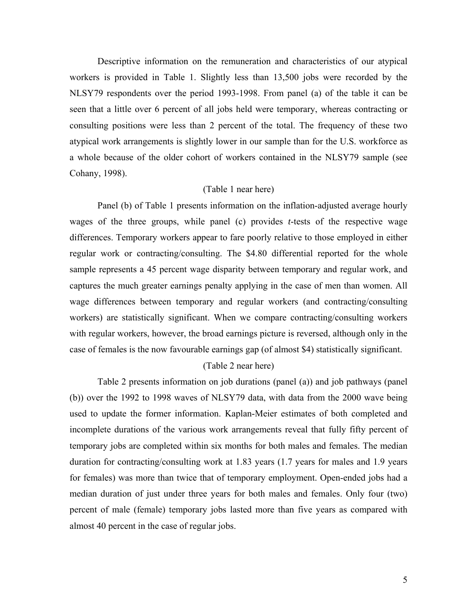Descriptive information on the remuneration and characteristics of our atypical workers is provided in Table 1. Slightly less than 13,500 jobs were recorded by the NLSY79 respondents over the period 1993-1998. From panel (a) of the table it can be seen that a little over 6 percent of all jobs held were temporary, whereas contracting or consulting positions were less than 2 percent of the total. The frequency of these two atypical work arrangements is slightly lower in our sample than for the U.S. workforce as a whole because of the older cohort of workers contained in the NLSY79 sample (see Cohany, 1998).

#### (Table 1 near here)

 Panel (b) of Table 1 presents information on the inflation-adjusted average hourly wages of the three groups, while panel (c) provides *t*-tests of the respective wage differences. Temporary workers appear to fare poorly relative to those employed in either regular work or contracting/consulting. The \$4.80 differential reported for the whole sample represents a 45 percent wage disparity between temporary and regular work, and captures the much greater earnings penalty applying in the case of men than women. All wage differences between temporary and regular workers (and contracting/consulting workers) are statistically significant. When we compare contracting/consulting workers with regular workers, however, the broad earnings picture is reversed, although only in the case of females is the now favourable earnings gap (of almost \$4) statistically significant.

#### (Table 2 near here)

Table 2 presents information on job durations (panel (a)) and job pathways (panel (b)) over the 1992 to 1998 waves of NLSY79 data, with data from the 2000 wave being used to update the former information. Kaplan-Meier estimates of both completed and incomplete durations of the various work arrangements reveal that fully fifty percent of temporary jobs are completed within six months for both males and females. The median duration for contracting/consulting work at 1.83 years (1.7 years for males and 1.9 years for females) was more than twice that of temporary employment. Open-ended jobs had a median duration of just under three years for both males and females. Only four (two) percent of male (female) temporary jobs lasted more than five years as compared with almost 40 percent in the case of regular jobs.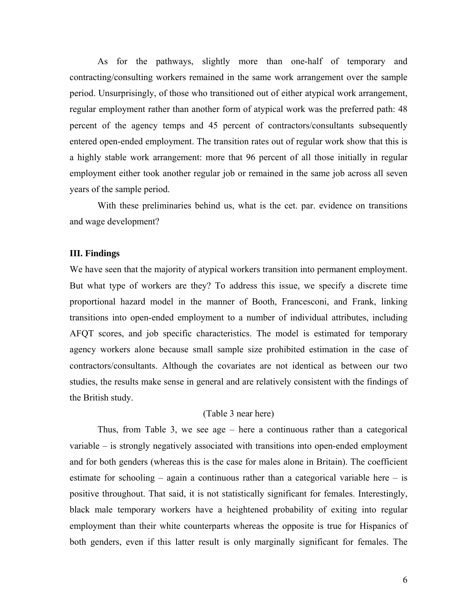As for the pathways, slightly more than one-half of temporary and contracting/consulting workers remained in the same work arrangement over the sample period. Unsurprisingly, of those who transitioned out of either atypical work arrangement, regular employment rather than another form of atypical work was the preferred path: 48 percent of the agency temps and 45 percent of contractors/consultants subsequently entered open-ended employment. The transition rates out of regular work show that this is a highly stable work arrangement: more that 96 percent of all those initially in regular employment either took another regular job or remained in the same job across all seven years of the sample period.

With these preliminaries behind us, what is the cet. par. evidence on transitions and wage development?

#### **III. Findings**

We have seen that the majority of atypical workers transition into permanent employment. But what type of workers are they? To address this issue, we specify a discrete time proportional hazard model in the manner of Booth, Francesconi, and Frank, linking transitions into open-ended employment to a number of individual attributes, including AFQT scores, and job specific characteristics. The model is estimated for temporary agency workers alone because small sample size prohibited estimation in the case of contractors/consultants. Although the covariates are not identical as between our two studies, the results make sense in general and are relatively consistent with the findings of the British study.

#### (Table 3 near here)

Thus, from Table 3, we see age – here a continuous rather than a categorical variable – is strongly negatively associated with transitions into open-ended employment and for both genders (whereas this is the case for males alone in Britain). The coefficient estimate for schooling – again a continuous rather than a categorical variable here – is positive throughout. That said, it is not statistically significant for females. Interestingly, black male temporary workers have a heightened probability of exiting into regular employment than their white counterparts whereas the opposite is true for Hispanics of both genders, even if this latter result is only marginally significant for females. The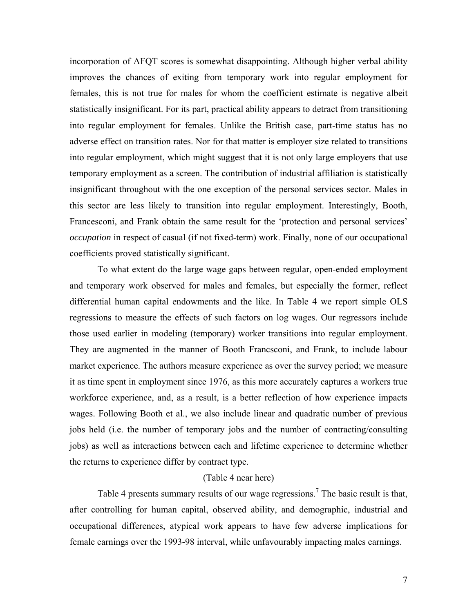incorporation of AFQT scores is somewhat disappointing. Although higher verbal ability improves the chances of exiting from temporary work into regular employment for females, this is not true for males for whom the coefficient estimate is negative albeit statistically insignificant. For its part, practical ability appears to detract from transitioning into regular employment for females. Unlike the British case, part-time status has no adverse effect on transition rates. Nor for that matter is employer size related to transitions into regular employment, which might suggest that it is not only large employers that use temporary employment as a screen. The contribution of industrial affiliation is statistically insignificant throughout with the one exception of the personal services sector. Males in this sector are less likely to transition into regular employment. Interestingly, Booth, Francesconi, and Frank obtain the same result for the 'protection and personal services' *occupation* in respect of casual (if not fixed-term) work. Finally, none of our occupational coefficients proved statistically significant.

To what extent do the large wage gaps between regular, open-ended employment and temporary work observed for males and females, but especially the former, reflect differential human capital endowments and the like. In Table 4 we report simple OLS regressions to measure the effects of such factors on log wages. Our regressors include those used earlier in modeling (temporary) worker transitions into regular employment. They are augmented in the manner of Booth Francsconi, and Frank, to include labour market experience. The authors measure experience as over the survey period; we measure it as time spent in employment since 1976, as this more accurately captures a workers true workforce experience, and, as a result, is a better reflection of how experience impacts wages. Following Booth et al., we also include linear and quadratic number of previous jobs held (i.e. the number of temporary jobs and the number of contracting/consulting jobs) as well as interactions between each and lifetime experience to determine whether the returns to experience differ by contract type.

#### (Table 4 near here)

Table 4 presents summary results of our wage regressions.<sup>7</sup> The basic result is that, after controlling for human capital, observed ability, and demographic, industrial and occupational differences, atypical work appears to have few adverse implications for female earnings over the 1993-98 interval, while unfavourably impacting males earnings.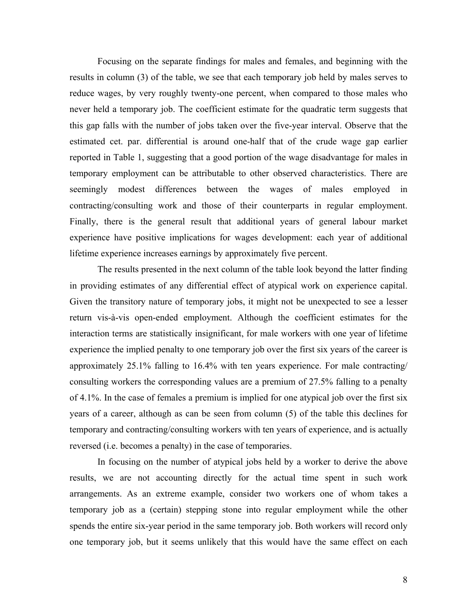Focusing on the separate findings for males and females, and beginning with the results in column (3) of the table, we see that each temporary job held by males serves to reduce wages, by very roughly twenty-one percent, when compared to those males who never held a temporary job. The coefficient estimate for the quadratic term suggests that this gap falls with the number of jobs taken over the five-year interval. Observe that the estimated cet. par. differential is around one-half that of the crude wage gap earlier reported in Table 1, suggesting that a good portion of the wage disadvantage for males in temporary employment can be attributable to other observed characteristics. There are seemingly modest differences between the wages of males employed in contracting/consulting work and those of their counterparts in regular employment. Finally, there is the general result that additional years of general labour market experience have positive implications for wages development: each year of additional lifetime experience increases earnings by approximately five percent.

 The results presented in the next column of the table look beyond the latter finding in providing estimates of any differential effect of atypical work on experience capital. Given the transitory nature of temporary jobs, it might not be unexpected to see a lesser return vis-à-vis open-ended employment. Although the coefficient estimates for the interaction terms are statistically insignificant, for male workers with one year of lifetime experience the implied penalty to one temporary job over the first six years of the career is approximately 25.1% falling to 16.4% with ten years experience. For male contracting/ consulting workers the corresponding values are a premium of 27.5% falling to a penalty of 4.1%. In the case of females a premium is implied for one atypical job over the first six years of a career, although as can be seen from column (5) of the table this declines for temporary and contracting/consulting workers with ten years of experience, and is actually reversed (i.e. becomes a penalty) in the case of temporaries.

 In focusing on the number of atypical jobs held by a worker to derive the above results, we are not accounting directly for the actual time spent in such work arrangements. As an extreme example, consider two workers one of whom takes a temporary job as a (certain) stepping stone into regular employment while the other spends the entire six-year period in the same temporary job. Both workers will record only one temporary job, but it seems unlikely that this would have the same effect on each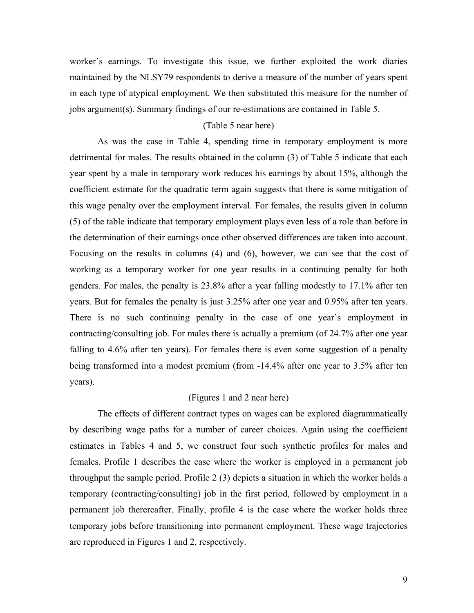worker's earnings. To investigate this issue, we further exploited the work diaries maintained by the NLSY79 respondents to derive a measure of the number of years spent in each type of atypical employment. We then substituted this measure for the number of jobs argument(s). Summary findings of our re-estimations are contained in Table 5.

#### (Table 5 near here)

As was the case in Table 4, spending time in temporary employment is more detrimental for males. The results obtained in the column (3) of Table 5 indicate that each year spent by a male in temporary work reduces his earnings by about 15%, although the coefficient estimate for the quadratic term again suggests that there is some mitigation of this wage penalty over the employment interval. For females, the results given in column (5) of the table indicate that temporary employment plays even less of a role than before in the determination of their earnings once other observed differences are taken into account. Focusing on the results in columns (4) and (6), however, we can see that the cost of working as a temporary worker for one year results in a continuing penalty for both genders. For males, the penalty is 23.8% after a year falling modestly to 17.1% after ten years. But for females the penalty is just 3.25% after one year and 0.95% after ten years. There is no such continuing penalty in the case of one year's employment in contracting/consulting job. For males there is actually a premium (of 24.7% after one year falling to 4.6% after ten years). For females there is even some suggestion of a penalty being transformed into a modest premium (from -14.4% after one year to 3.5% after ten years).

#### (Figures 1 and 2 near here)

The effects of different contract types on wages can be explored diagrammatically by describing wage paths for a number of career choices. Again using the coefficient estimates in Tables 4 and 5, we construct four such synthetic profiles for males and females. Profile 1 describes the case where the worker is employed in a permanent job throughput the sample period. Profile 2 (3) depicts a situation in which the worker holds a temporary (contracting/consulting) job in the first period, followed by employment in a permanent job therereafter. Finally, profile 4 is the case where the worker holds three temporary jobs before transitioning into permanent employment. These wage trajectories are reproduced in Figures 1 and 2, respectively.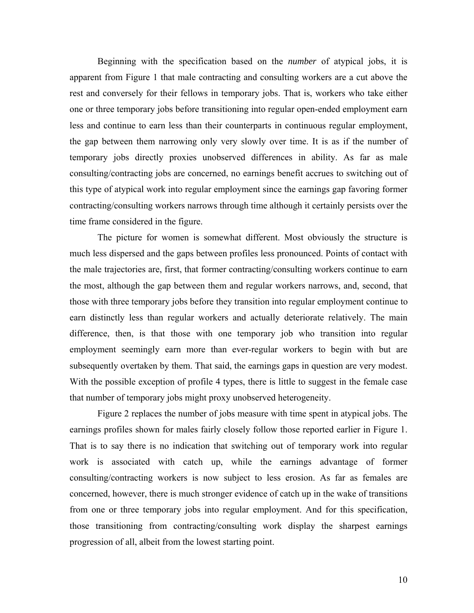Beginning with the specification based on the *number* of atypical jobs, it is apparent from Figure 1 that male contracting and consulting workers are a cut above the rest and conversely for their fellows in temporary jobs. That is, workers who take either one or three temporary jobs before transitioning into regular open-ended employment earn less and continue to earn less than their counterparts in continuous regular employment, the gap between them narrowing only very slowly over time. It is as if the number of temporary jobs directly proxies unobserved differences in ability. As far as male consulting/contracting jobs are concerned, no earnings benefit accrues to switching out of this type of atypical work into regular employment since the earnings gap favoring former contracting/consulting workers narrows through time although it certainly persists over the time frame considered in the figure.

The picture for women is somewhat different. Most obviously the structure is much less dispersed and the gaps between profiles less pronounced. Points of contact with the male trajectories are, first, that former contracting/consulting workers continue to earn the most, although the gap between them and regular workers narrows, and, second, that those with three temporary jobs before they transition into regular employment continue to earn distinctly less than regular workers and actually deteriorate relatively. The main difference, then, is that those with one temporary job who transition into regular employment seemingly earn more than ever-regular workers to begin with but are subsequently overtaken by them. That said, the earnings gaps in question are very modest. With the possible exception of profile 4 types, there is little to suggest in the female case that number of temporary jobs might proxy unobserved heterogeneity.

Figure 2 replaces the number of jobs measure with time spent in atypical jobs. The earnings profiles shown for males fairly closely follow those reported earlier in Figure 1. That is to say there is no indication that switching out of temporary work into regular work is associated with catch up, while the earnings advantage of former consulting/contracting workers is now subject to less erosion. As far as females are concerned, however, there is much stronger evidence of catch up in the wake of transitions from one or three temporary jobs into regular employment. And for this specification, those transitioning from contracting/consulting work display the sharpest earnings progression of all, albeit from the lowest starting point.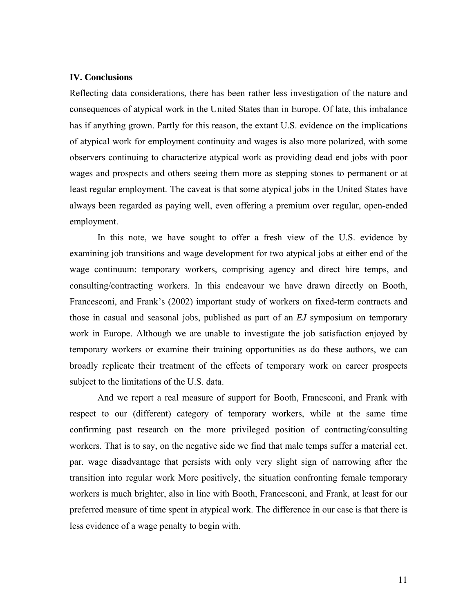#### **IV. Conclusions**

Reflecting data considerations, there has been rather less investigation of the nature and consequences of atypical work in the United States than in Europe. Of late, this imbalance has if anything grown. Partly for this reason, the extant U.S. evidence on the implications of atypical work for employment continuity and wages is also more polarized, with some observers continuing to characterize atypical work as providing dead end jobs with poor wages and prospects and others seeing them more as stepping stones to permanent or at least regular employment. The caveat is that some atypical jobs in the United States have always been regarded as paying well, even offering a premium over regular, open-ended employment.

In this note, we have sought to offer a fresh view of the U.S. evidence by examining job transitions and wage development for two atypical jobs at either end of the wage continuum: temporary workers, comprising agency and direct hire temps, and consulting/contracting workers. In this endeavour we have drawn directly on Booth, Francesconi, and Frank's (2002) important study of workers on fixed-term contracts and those in casual and seasonal jobs, published as part of an *EJ* symposium on temporary work in Europe. Although we are unable to investigate the job satisfaction enjoyed by temporary workers or examine their training opportunities as do these authors, we can broadly replicate their treatment of the effects of temporary work on career prospects subject to the limitations of the U.S. data.

 And we report a real measure of support for Booth, Francsconi, and Frank with respect to our (different) category of temporary workers, while at the same time confirming past research on the more privileged position of contracting/consulting workers. That is to say, on the negative side we find that male temps suffer a material cet. par. wage disadvantage that persists with only very slight sign of narrowing after the transition into regular work More positively, the situation confronting female temporary workers is much brighter, also in line with Booth, Francesconi, and Frank, at least for our preferred measure of time spent in atypical work. The difference in our case is that there is less evidence of a wage penalty to begin with.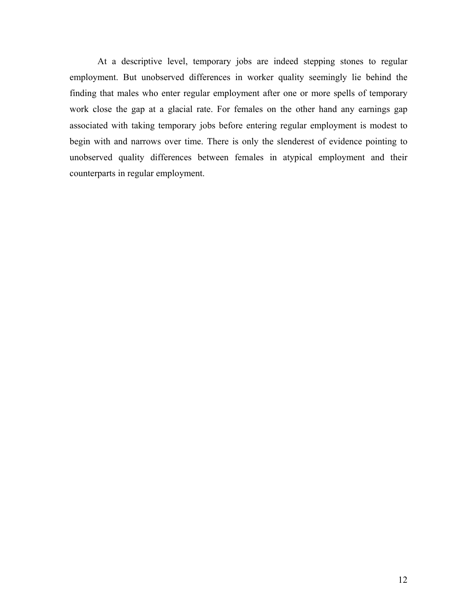At a descriptive level, temporary jobs are indeed stepping stones to regular employment. But unobserved differences in worker quality seemingly lie behind the finding that males who enter regular employment after one or more spells of temporary work close the gap at a glacial rate. For females on the other hand any earnings gap associated with taking temporary jobs before entering regular employment is modest to begin with and narrows over time. There is only the slenderest of evidence pointing to unobserved quality differences between females in atypical employment and their counterparts in regular employment.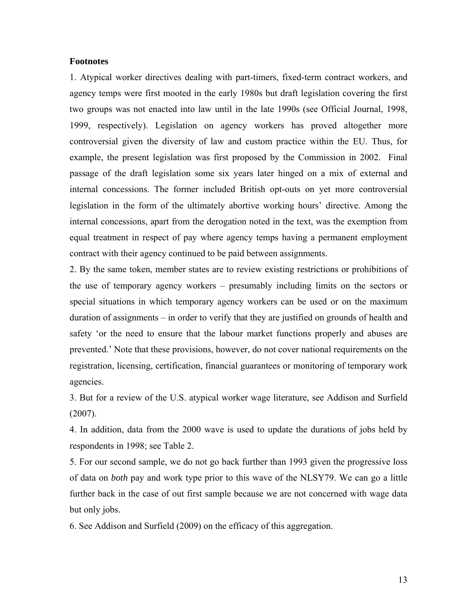#### **Footnotes**

1. Atypical worker directives dealing with part-timers, fixed-term contract workers, and agency temps were first mooted in the early 1980s but draft legislation covering the first two groups was not enacted into law until in the late 1990s (see Official Journal, 1998, 1999, respectively). Legislation on agency workers has proved altogether more controversial given the diversity of law and custom practice within the EU. Thus, for example, the present legislation was first proposed by the Commission in 2002. Final passage of the draft legislation some six years later hinged on a mix of external and internal concessions. The former included British opt-outs on yet more controversial legislation in the form of the ultimately abortive working hours' directive. Among the internal concessions, apart from the derogation noted in the text, was the exemption from equal treatment in respect of pay where agency temps having a permanent employment contract with their agency continued to be paid between assignments.

2. By the same token, member states are to review existing restrictions or prohibitions of the use of temporary agency workers – presumably including limits on the sectors or special situations in which temporary agency workers can be used or on the maximum duration of assignments – in order to verify that they are justified on grounds of health and safety 'or the need to ensure that the labour market functions properly and abuses are prevented.' Note that these provisions, however, do not cover national requirements on the registration, licensing, certification, financial guarantees or monitoring of temporary work agencies.

3. But for a review of the U.S. atypical worker wage literature, see Addison and Surfield (2007).

4. In addition, data from the 2000 wave is used to update the durations of jobs held by respondents in 1998; see Table 2.

5. For our second sample, we do not go back further than 1993 given the progressive loss of data on *both* pay and work type prior to this wave of the NLSY79. We can go a little further back in the case of out first sample because we are not concerned with wage data but only jobs.

6. See Addison and Surfield (2009) on the efficacy of this aggregation.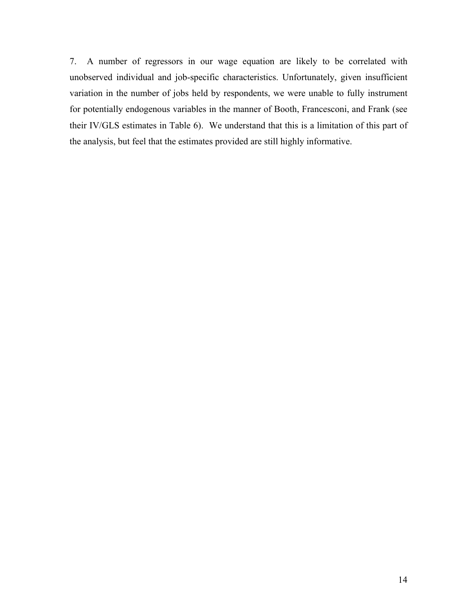7. A number of regressors in our wage equation are likely to be correlated with unobserved individual and job-specific characteristics. Unfortunately, given insufficient variation in the number of jobs held by respondents, we were unable to fully instrument for potentially endogenous variables in the manner of Booth, Francesconi, and Frank (see their IV/GLS estimates in Table 6). We understand that this is a limitation of this part of the analysis, but feel that the estimates provided are still highly informative.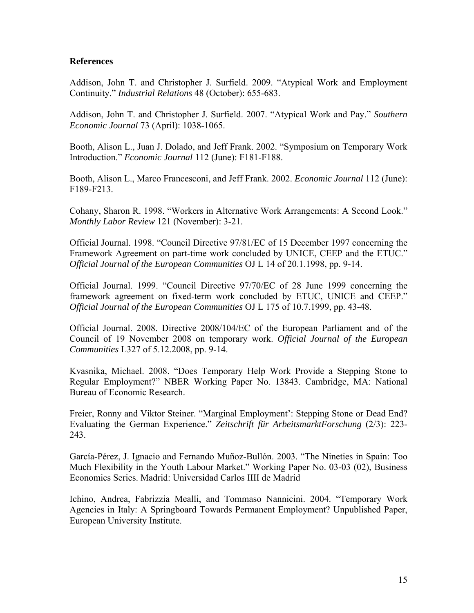#### **References**

Addison, John T. and Christopher J. Surfield. 2009. "Atypical Work and Employment Continuity." *Industrial Relations* 48 (October): 655-683.

Addison, John T. and Christopher J. Surfield. 2007. "Atypical Work and Pay." *Southern Economic Journal* 73 (April): 1038-1065.

Booth, Alison L., Juan J. Dolado, and Jeff Frank. 2002. "Symposium on Temporary Work Introduction." *Economic Journal* 112 (June): F181-F188.

Booth, Alison L., Marco Francesconi, and Jeff Frank. 2002. *Economic Journal* 112 (June): F189-F213.

Cohany, Sharon R. 1998. "Workers in Alternative Work Arrangements: A Second Look." *Monthly Labor Review* 121 (November): 3-21.

Official Journal. 1998. "Council Directive 97/81/EC of 15 December 1997 concerning the Framework Agreement on part-time work concluded by UNICE, CEEP and the ETUC." *Official Journal of the European Communities* OJ L 14 of 20.1.1998, pp. 9-14.

Official Journal. 1999. "Council Directive 97/70/EC of 28 June 1999 concerning the framework agreement on fixed-term work concluded by ETUC, UNICE and CEEP." *Official Journal of the European Communities* OJ L 175 of 10.7.1999, pp. 43-48.

Official Journal. 2008. Directive 2008/104/EC of the European Parliament and of the Council of 19 November 2008 on temporary work. *Official Journal of the European Communities* L327 of 5.12.2008, pp. 9-14.

Kvasnika, Michael. 2008. "Does Temporary Help Work Provide a Stepping Stone to Regular Employment?" NBER Working Paper No. 13843. Cambridge, MA: National Bureau of Economic Research.

Freier, Ronny and Viktor Steiner. "Marginal Employment': Stepping Stone or Dead End? Evaluating the German Experience." *Zeitschrift für ArbeitsmarktForschung* (2/3): 223- 243.

García-Pérez, J. Ignacio and Fernando Muñoz-Bullón. 2003. "The Nineties in Spain: Too Much Flexibility in the Youth Labour Market." Working Paper No. 03-03 (02), Business Economics Series. Madrid: Universidad Carlos IIII de Madrid

Ichino, Andrea, Fabrizzia Mealli, and Tommaso Nannicini. 2004. "Temporary Work Agencies in Italy: A Springboard Towards Permanent Employment? Unpublished Paper, European University Institute.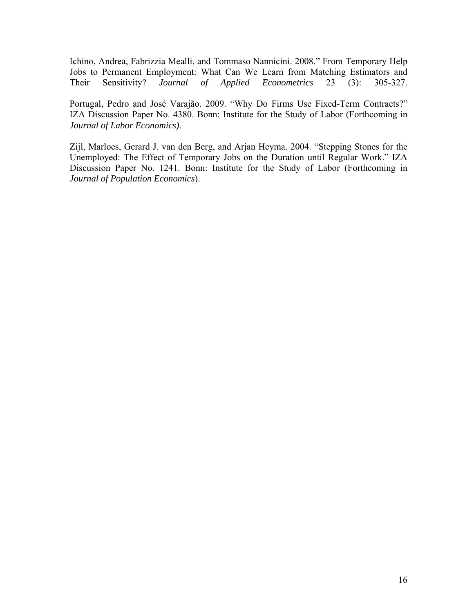Ichino, Andrea, Fabrizzia Mealli, and Tommaso Nannicini. 2008." From Temporary Help Jobs to Permanent Employment: What Can We Learn from Matching Estimators and Their Sensitivity? *Journal of Applied Econometrics* 23 (3): 305-327.

Portugal, Pedro and José Varajão. 2009. "Why Do Firms Use Fixed-Term Contracts?" IZA Discussion Paper No. 4380. Bonn: Institute for the Study of Labor (Forthcoming in *Journal of Labor Economics).*

Zijl, Marloes, Gerard J. van den Berg, and Arjan Heyma. 2004. "Stepping Stones for the Unemployed: The Effect of Temporary Jobs on the Duration until Regular Work." IZA Discussion Paper No. 1241. Bonn: Institute for the Study of Labor (Forthcoming in *Journal of Population Economics*).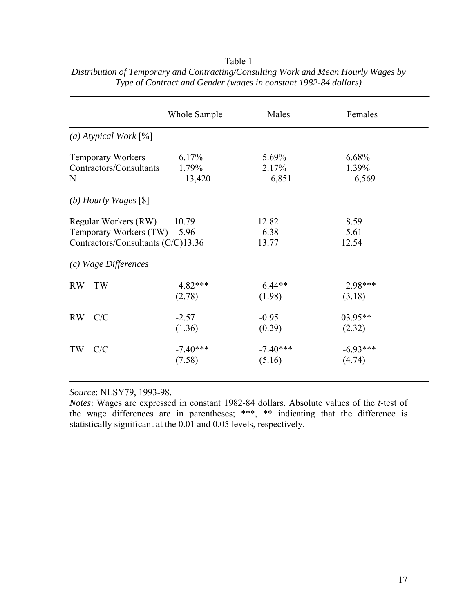|                                    | Whole Sample | Males      | Females    |
|------------------------------------|--------------|------------|------------|
| (a) Atypical Work $[\%]$           |              |            |            |
| <b>Temporary Workers</b>           | 6.17%        | 5.69%      | 6.68%      |
| Contractors/Consultants            | 1.79%        | 2.17%      | 1.39%      |
| N                                  | 13,420       | 6,851      | 6,569      |
| (b) Hourly Wages $[$]$             |              |            |            |
| Regular Workers (RW)               | 10.79        | 12.82      | 8.59       |
| Temporary Workers (TW)             | 5.96         | 6.38       | 5.61       |
| Contractors/Consultants (C/C)13.36 |              | 13.77      | 12.54      |
| (c) Wage Differences               |              |            |            |
| $RW-TW$                            | $4.82***$    | $6.44**$   | 2.98***    |
|                                    | (2.78)       | (1.98)     | (3.18)     |
| $RW - C/C$                         | $-2.57$      | $-0.95$    | $03.95**$  |
|                                    | (1.36)       | (0.29)     | (2.32)     |
| $TW - C/C$                         | $-7.40***$   | $-7.40***$ | $-6.93***$ |
|                                    | (7.58)       | (5.16)     | (4.74)     |
|                                    |              |            |            |

Table 1 *Distribution of Temporary and Contracting/Consulting Work and Mean Hourly Wages by Type of Contract and Gender (wages in constant 1982-84 dollars)* 

*Source*: NLSY79, 1993-98.

*Notes*: Wages are expressed in constant 1982-84 dollars. Absolute values of the *t*-test of the wage differences are in parentheses; \*\*\*, \*\* indicating that the difference is statistically significant at the 0.01 and 0.05 levels, respectively.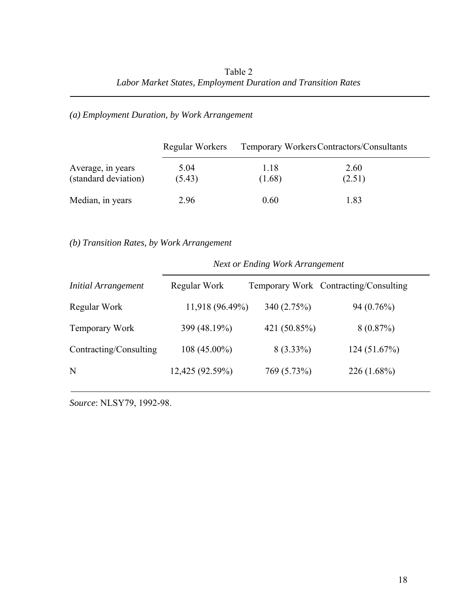## *(a) Employment Duration, by Work Arrangement*

|                                           | Regular Workers | Temporary Workers Contractors/Consultants |                |  |  |
|-------------------------------------------|-----------------|-------------------------------------------|----------------|--|--|
| Average, in years<br>(standard deviation) | 5.04<br>(5.43)  | 1.18<br>(1.68)                            | 2.60<br>(2.51) |  |  |
| Median, in years                          | 2.96            | 0.60                                      | 1.83           |  |  |

#### *(b) Transition Rates, by Work Arrangement*

#### *Next or Ending Work Arrangement*

| <b>Initial Arrangement</b> | Regular Work    |              | Temporary Work Contracting/Consulting |
|----------------------------|-----------------|--------------|---------------------------------------|
| Regular Work               | 11,918 (96.49%) | 340 (2.75%)  | $94(0.76\%)$                          |
| Temporary Work             | 399 (48.19%)    | 421 (50.85%) | 8(0.87%)                              |
| Contracting/Consulting     | $108(45.00\%)$  | $8(3.33\%)$  | 124(51.67%)                           |
| N                          | 12,425 (92.59%) | 769 (5.73%)  | $226(1.68\%)$                         |

*Source*: NLSY79, 1992-98.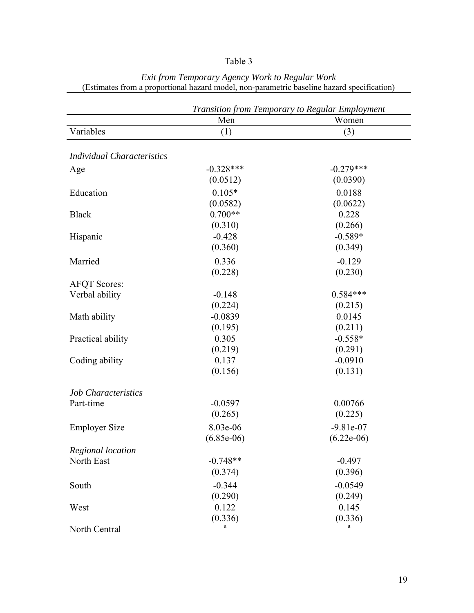## Table 3

|                                   | Men          | Transition from Temporary to Regular Employment<br>Women |
|-----------------------------------|--------------|----------------------------------------------------------|
| Variables                         | (1)          | (3)                                                      |
|                                   |              |                                                          |
| <b>Individual Characteristics</b> |              |                                                          |
| Age                               | $-0.328***$  | $-0.279***$                                              |
|                                   | (0.0512)     | (0.0390)                                                 |
| Education                         | $0.105*$     | 0.0188                                                   |
|                                   | (0.0582)     | (0.0622)                                                 |
| <b>Black</b>                      | $0.700**$    | 0.228                                                    |
|                                   | (0.310)      | (0.266)                                                  |
| Hispanic                          | $-0.428$     | $-0.589*$                                                |
|                                   | (0.360)      | (0.349)                                                  |
| Married                           | 0.336        | $-0.129$                                                 |
|                                   | (0.228)      | (0.230)                                                  |
| <b>AFQT Scores:</b>               |              |                                                          |
| Verbal ability                    | $-0.148$     | $0.584***$                                               |
|                                   | (0.224)      | (0.215)                                                  |
| Math ability                      | $-0.0839$    | 0.0145                                                   |
|                                   | (0.195)      | (0.211)                                                  |
| Practical ability                 | 0.305        | $-0.558*$                                                |
|                                   | (0.219)      | (0.291)                                                  |
| Coding ability                    | 0.137        | $-0.0910$                                                |
|                                   | (0.156)      | (0.131)                                                  |
| <b>Job Characteristics</b>        |              |                                                          |
| Part-time                         | $-0.0597$    | 0.00766                                                  |
|                                   | (0.265)      | (0.225)                                                  |
| <b>Employer Size</b>              | 8.03e-06     | $-9.81e-07$                                              |
|                                   | $(6.85e-06)$ | $(6.22e-06)$                                             |
| Regional location                 |              |                                                          |
| North East                        | $-0.748**$   | $-0.497$                                                 |
|                                   | (0.374)      | (0.396)                                                  |
| South                             | $-0.344$     | $-0.0549$                                                |
|                                   | (0.290)      | (0.249)                                                  |
| West                              | 0.122        | 0.145                                                    |
|                                   | (0.336)      | (0.336)                                                  |
| North Central                     |              |                                                          |

*Exit from Temporary Agency Work to Regular Work*  (Estimates from a proportional hazard model, non-parametric baseline hazard specification)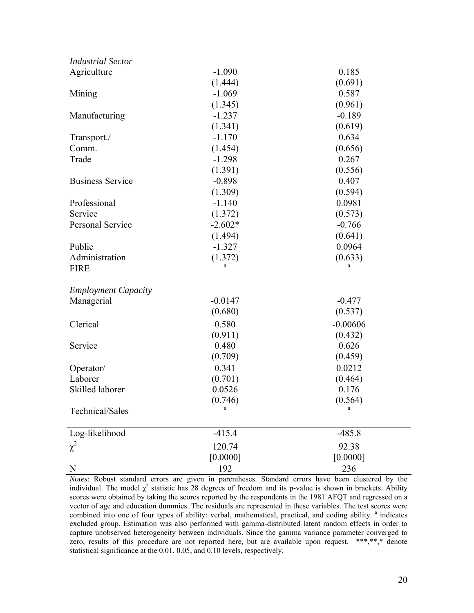| <b>Industrial Sector</b>   |           |            |  |
|----------------------------|-----------|------------|--|
| Agriculture                | $-1.090$  | 0.185      |  |
|                            | (1.444)   | (0.691)    |  |
| Mining                     | $-1.069$  | 0.587      |  |
|                            | (1.345)   | (0.961)    |  |
| Manufacturing              | $-1.237$  | $-0.189$   |  |
|                            | (1.341)   | (0.619)    |  |
| Transport./                | $-1.170$  | 0.634      |  |
| Comm.                      | (1.454)   | (0.656)    |  |
| Trade                      | $-1.298$  | 0.267      |  |
|                            | (1.391)   | (0.556)    |  |
| <b>Business Service</b>    | $-0.898$  | 0.407      |  |
|                            | (1.309)   | (0.594)    |  |
| Professional               | $-1.140$  | 0.0981     |  |
| Service                    | (1.372)   | (0.573)    |  |
| Personal Service           | $-2.602*$ | $-0.766$   |  |
|                            | (1.494)   | (0.641)    |  |
| Public                     | $-1.327$  | 0.0964     |  |
| Administration             | (1.372)   | (0.633)    |  |
| <b>FIRE</b>                |           |            |  |
| <b>Employment Capacity</b> |           |            |  |
| Managerial                 | $-0.0147$ | $-0.477$   |  |
|                            | (0.680)   | (0.537)    |  |
| Clerical                   | 0.580     | $-0.00606$ |  |
|                            | (0.911)   | (0.432)    |  |
| Service                    | 0.480     | 0.626      |  |
|                            | (0.709)   | (0.459)    |  |
| Operator/                  | 0.341     | 0.0212     |  |
| Laborer                    | (0.701)   | (0.464)    |  |
| Skilled laborer            | 0.0526    | 0.176      |  |
|                            | (0.746)   | (0.564)    |  |
| Technical/Sales            | a         | a          |  |
| Log-likelihood             | $-415.4$  | $-485.8$   |  |
| $\chi^2$                   | 120.74    | 92.38      |  |
|                            | [0.0000]  | [0.0000]   |  |
| N                          | 192       | 236        |  |

*Notes*: Robust standard errors are given in parentheses. Standard errors have been clustered by the individual. The model  $\chi^2$  statistic has 28 degrees of freedom and its p-value is shown in brackets. Ability scores were obtained by taking the scores reported by the respondents in the 1981 AFQT and regressed on a vector of age and education dummies. The residuals are represented in these variables. The test scores were combined into one of four types of ability: verbal, mathematical, practical, and coding ability. <sup>a</sup> indicates excluded group. Estimation was also performed with gamma-distributed latent random effects in order to capture unobserved heterogeneity between individuals. Since the gamma variance parameter converged to zero, results of this procedure are not reported here, but are available upon request. \*\*\*,\*\*,\* denote statistical significance at the 0.01, 0.05, and 0.10 levels, respectively.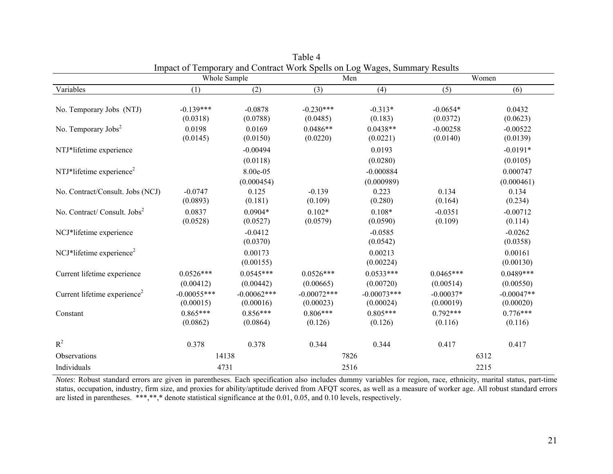|                                          | Whole Sample               |                            |                            | Impact of Temporary and Contract Work Spens on Log wages, Summary Results<br>Men |                          | Women                     |  |
|------------------------------------------|----------------------------|----------------------------|----------------------------|----------------------------------------------------------------------------------|--------------------------|---------------------------|--|
| Variables                                | (1)                        | (2)                        | (3)                        | (4)                                                                              | (5)                      | (6)                       |  |
| No. Temporary Jobs (NTJ)                 | $-0.139***$<br>(0.0318)    | $-0.0878$<br>(0.0788)      | $-0.230***$<br>(0.0485)    | $-0.313*$<br>(0.183)                                                             | $-0.0654*$<br>(0.0372)   | 0.0432<br>(0.0623)        |  |
| No. Temporary $\text{Jobs}^2$            | 0.0198<br>(0.0145)         | 0.0169<br>(0.0150)         | $0.0486**$<br>(0.0220)     | $0.0438**$<br>(0.0221)                                                           | $-0.00258$<br>(0.0140)   | $-0.00522$<br>(0.0139)    |  |
| NTJ*lifetime experience                  |                            | $-0.00494$<br>(0.0118)     |                            | 0.0193<br>(0.0280)                                                               |                          | $-0.0191*$<br>(0.0105)    |  |
| NTJ*lifetime experience <sup>2</sup>     |                            | 8.00e-05<br>(0.000454)     |                            | $-0.000884$<br>(0.000989)                                                        |                          | 0.000747<br>(0.000461)    |  |
| No. Contract/Consult. Jobs (NCJ)         | $-0.0747$<br>(0.0893)      | 0.125<br>(0.181)           | $-0.139$<br>(0.109)        | 0.223<br>(0.280)                                                                 | 0.134<br>(0.164)         | 0.134<br>(0.234)          |  |
| No. Contract/Consult. Jobs <sup>2</sup>  | 0.0837<br>(0.0528)         | $0.0904*$<br>(0.0527)      | $0.102*$<br>(0.0579)       | $0.108*$<br>(0.0590)                                                             | $-0.0351$<br>(0.109)     | $-0.00712$<br>(0.114)     |  |
| NCJ*lifetime experience                  |                            | $-0.0412$<br>(0.0370)      |                            | $-0.0585$<br>(0.0542)                                                            |                          | $-0.0262$<br>(0.0358)     |  |
| NCJ*lifetime experience <sup>2</sup>     |                            | 0.00173<br>(0.00155)       |                            | 0.00213<br>(0.00224)                                                             |                          | 0.00161<br>(0.00130)      |  |
| Current lifetime experience              | $0.0526***$<br>(0.00412)   | $0.0545***$<br>(0.00442)   | $0.0526***$<br>(0.00665)   | $0.0533***$<br>(0.00720)                                                         | $0.0465***$<br>(0.00514) | $0.0489***$<br>(0.00550)  |  |
| Current lifetime experience <sup>2</sup> | $-0.00055***$<br>(0.00015) | $-0.00062***$<br>(0.00016) | $-0.00072***$<br>(0.00023) | $-0.00073***$<br>(0.00024)                                                       | $-0.00037*$<br>(0.00019) | $-0.00047**$<br>(0.00020) |  |
| Constant                                 | $0.865***$<br>(0.0862)     | $0.856***$<br>(0.0864)     | $0.806***$<br>(0.126)      | $0.805***$<br>(0.126)                                                            | $0.792***$<br>(0.116)    | $0.776***$<br>(0.116)     |  |
| $R^2$                                    | 0.378                      | 0.378                      | 0.344                      | 0.344                                                                            | 0.417                    | 0.417                     |  |
| Observations                             | 14138                      |                            |                            | 7826                                                                             |                          | 6312                      |  |
| Individuals                              | 4731                       |                            |                            | 2516                                                                             |                          | 2215                      |  |

Table 4 Impact of Temporary and Contract Work Spells on Log Wages, Summary Results

*Notes*: Robust standard errors are given in parentheses. Each specification also includes dummy variables for region, race, ethnicity, marital status, part-time status, occupation, industry, firm size, and proxies for ability/aptitude derived from AFQT scores, as well as a measure of worker age. All robust standard errors are listed in parentheses. \*\*\*,\*\*,\* denote statistical significance at the 0.01, 0.05, and 0.10 levels, respectively.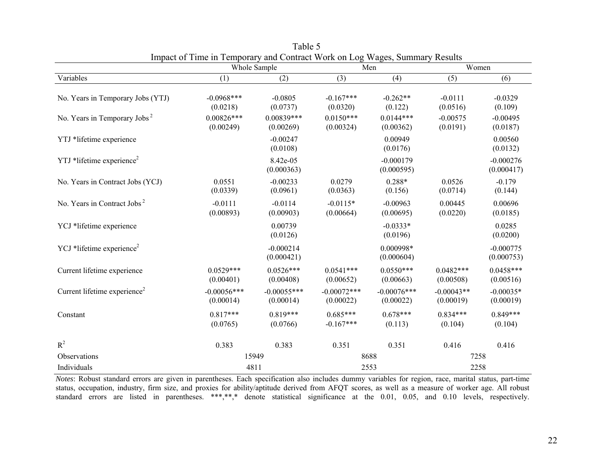|                                          | Whole Sample               |                            | Men                         |                            | Women                     |                           |  |
|------------------------------------------|----------------------------|----------------------------|-----------------------------|----------------------------|---------------------------|---------------------------|--|
| Variables                                | (1)                        | (2)                        | (3)                         | (4)                        | (5)                       | (6)                       |  |
| No. Years in Temporary Jobs (YTJ)        | $-0.0968***$<br>(0.0218)   | $-0.0805$<br>(0.0737)      | $-0.167***$<br>(0.0320)     | $-0.262**$<br>(0.122)      | $-0.0111$<br>(0.0516)     | $-0.0329$<br>(0.109)      |  |
| No. Years in Temporary Jobs <sup>2</sup> | $0.00826***$<br>(0.00249)  | $0.00839***$<br>(0.00269)  | $0.0150***$<br>(0.00324)    | $0.0144***$<br>(0.00362)   | $-0.00575$<br>(0.0191)    | $-0.00495$<br>(0.0187)    |  |
| YTJ *lifetime experience                 |                            | $-0.00247$<br>(0.0108)     |                             | 0.00949<br>(0.0176)        |                           | 0.00560<br>(0.0132)       |  |
| YTJ *lifetime experience <sup>2</sup>    |                            | 8.42e-05<br>(0.000363)     |                             | $-0.000179$<br>(0.000595)  |                           | $-0.000276$<br>(0.000417) |  |
| No. Years in Contract Jobs (YCJ)         | 0.0551<br>(0.0339)         | $-0.00233$<br>(0.0961)     | 0.0279<br>(0.0363)          | $0.288*$<br>(0.156)        | 0.0526<br>(0.0714)        | $-0.179$<br>(0.144)       |  |
| No. Years in Contract Jobs <sup>2</sup>  | $-0.0111$<br>(0.00893)     | $-0.0114$<br>(0.00903)     | $-0.0115*$<br>(0.00664)     | $-0.00963$<br>(0.00695)    | 0.00445<br>(0.0220)       | 0.00696<br>(0.0185)       |  |
| YCJ *lifetime experience                 |                            | 0.00739<br>(0.0126)        |                             | $-0.0333*$<br>(0.0196)     |                           | 0.0285<br>(0.0200)        |  |
| YCJ *lifetime experience <sup>2</sup>    |                            | $-0.000214$<br>(0.000421)  |                             | 0.000998*<br>(0.000604)    |                           | $-0.000775$<br>(0.000753) |  |
| Current lifetime experience              | $0.0529***$<br>(0.00401)   | $0.0526***$<br>(0.00408)   | $0.0541***$<br>(0.00652)    | $0.0550***$<br>(0.00663)   | $0.0482***$<br>(0.00508)  | $0.0458***$<br>(0.00516)  |  |
| Current lifetime experience <sup>2</sup> | $-0.00056***$<br>(0.00014) | $-0.00055***$<br>(0.00014) | $-0.00072$ ***<br>(0.00022) | $-0.00076***$<br>(0.00022) | $-0.00043**$<br>(0.00019) | $-0.00035*$<br>(0.00019)  |  |
| Constant                                 | $0.817***$<br>(0.0765)     | $0.819***$<br>(0.0766)     | $0.685***$<br>$-0.167***$   | $0.678***$<br>(0.113)      | $0.834***$<br>(0.104)     | $0.849***$<br>(0.104)     |  |
| $R^2$                                    | 0.383                      | 0.383                      | 0.351                       | 0.351                      | 0.416                     | 0.416                     |  |
| Observations                             |                            | 15949                      |                             | 8688                       |                           | 7258                      |  |
| Individuals                              | 4811                       |                            | 2553                        |                            | 2258                      |                           |  |

Table 5 Impact of Time in Temporary and Contract Work on Log Wages, Summary Results

*Notes*: Robust standard errors are given in parentheses. Each specification also includes dummy variables for region, race, marital status, part-time status, occupation, industry, firm size, and proxies for ability/aptitude derived from AFQT scores, as well as a measure of worker age. All robust standard errors are listed in parentheses. \*\*\*,\*\*,\* denote statistical significance at the 0.01, 0.05, and 0.10 levels, respectively.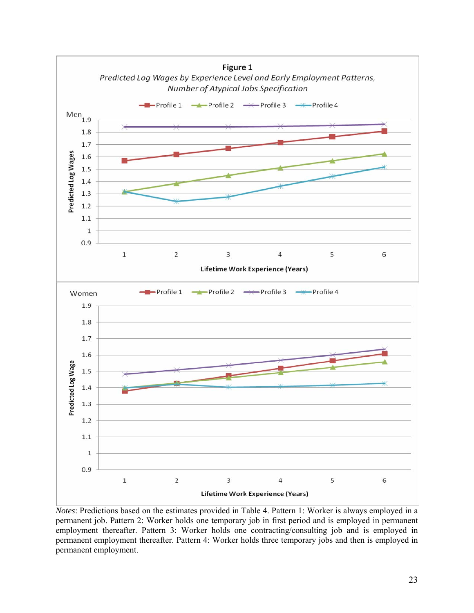

*Notes*: Predictions based on the estimates provided in Table 4. Pattern 1: Worker is always employed in a permanent job. Pattern 2: Worker holds one temporary job in first period and is employed in permanent employment thereafter. Pattern 3: Worker holds one contracting/consulting job and is employed in permanent employment thereafter. Pattern 4: Worker holds three temporary jobs and then is employed in permanent employment.